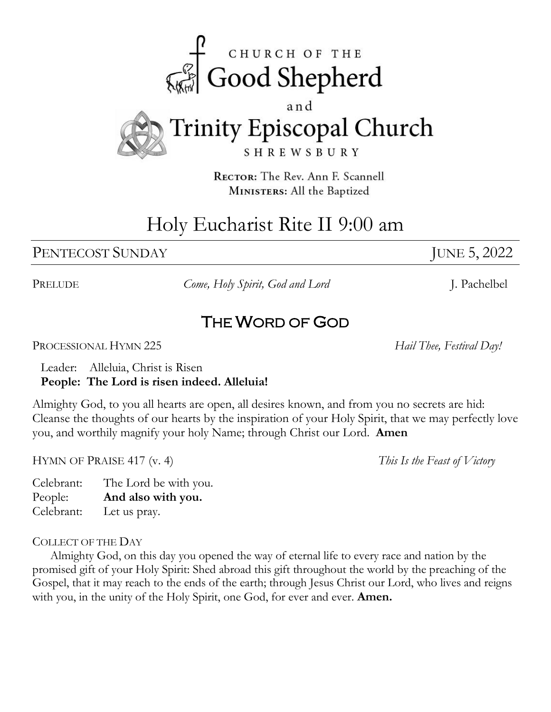

# Trinity Episcopal Church

**SHREWSBURY** 

**RECTOR:** The Rev. Ann F. Scannell MINISTERS: All the Baptized

# Holy Eucharist Rite II 9:00 am

PENTECOST SUNDAY JUNE 5, 2022

PRELUDE *Come, Holy Spirit, God and Lord* J. Pachelbel

THE WORD OF GOD

PROCESSIONAL HYMN 225 *Hail Thee, Festival Day!*

Leader:Alleluia, Christ is Risen **People: The Lord is risen indeed. Alleluia!**

Almighty God, to you all hearts are open, all desires known, and from you no secrets are hid: Cleanse the thoughts of our hearts by the inspiration of your Holy Spirit, that we may perfectly love you, and worthily magnify your holy Name; through Christ our Lord. **Amen**

HYMN OF PRAISE 417 (v. 4) *This Is the Feast of Victory*

Celebrant: The Lord be with you.

People: **And also with you.** Celebrant: Let us pray.

COLLECT OF THE DAY

 Almighty God, on this day you opened the way of eternal life to every race and nation by the promised gift of your Holy Spirit: Shed abroad this gift throughout the world by the preaching of the Gospel, that it may reach to the ends of the earth; through Jesus Christ our Lord, who lives and reigns with you, in the unity of the Holy Spirit, one God, for ever and ever. **Amen.**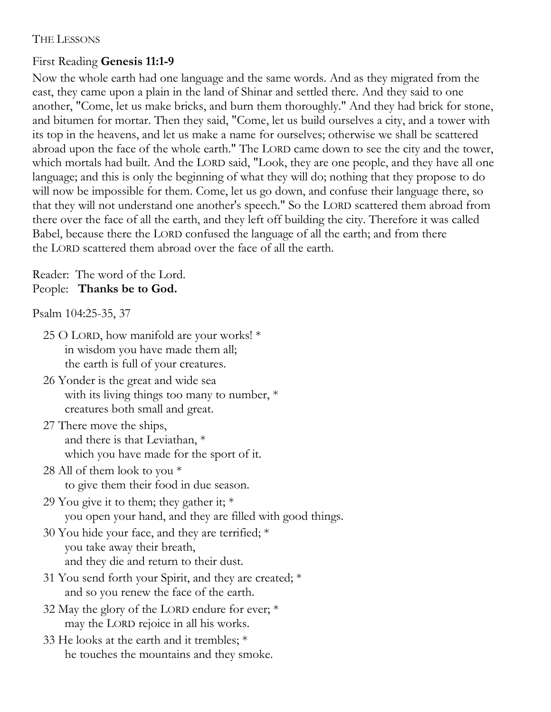#### THE LESSONS

### First Reading **Genesis 11:1-9**

Now the whole earth had one language and the same words. And as they migrated from the east, they came upon a plain in the land of Shinar and settled there. And they said to one another, "Come, let us make bricks, and burn them thoroughly." And they had brick for stone, and bitumen for mortar. Then they said, "Come, let us build ourselves a city, and a tower with its top in the heavens, and let us make a name for ourselves; otherwise we shall be scattered abroad upon the face of the whole earth." The LORD came down to see the city and the tower, which mortals had built. And the LORD said, "Look, they are one people, and they have all one language; and this is only the beginning of what they will do; nothing that they propose to do will now be impossible for them. Come, let us go down, and confuse their language there, so that they will not understand one another's speech." So the LORD scattered them abroad from there over the face of all the earth, and they left off building the city. Therefore it was called Babel, because there the LORD confused the language of all the earth; and from there the LORD scattered them abroad over the face of all the earth.

Reader: The word of the Lord. People: **Thanks be to God.**

Psalm 104:25-35, 37

- 25 O LORD, how manifold are your works! \* in wisdom you have made them all; the earth is full of your creatures.
- 26 Yonder is the great and wide sea with its living things too many to number,  $*$ creatures both small and great.
- 27 There move the ships, and there is that Leviathan, \* which you have made for the sport of it.
- 28 All of them look to you \* to give them their food in due season.
- 29 You give it to them; they gather it;  $*$ you open your hand, and they are filled with good things.
- 30 You hide your face, and they are terrified; \* you take away their breath, and they die and return to their dust.
- 31 You send forth your Spirit, and they are created; \* and so you renew the face of the earth.
- 32 May the glory of the LORD endure for ever; \* may the LORD rejoice in all his works.
- 33 He looks at the earth and it trembles; \* he touches the mountains and they smoke.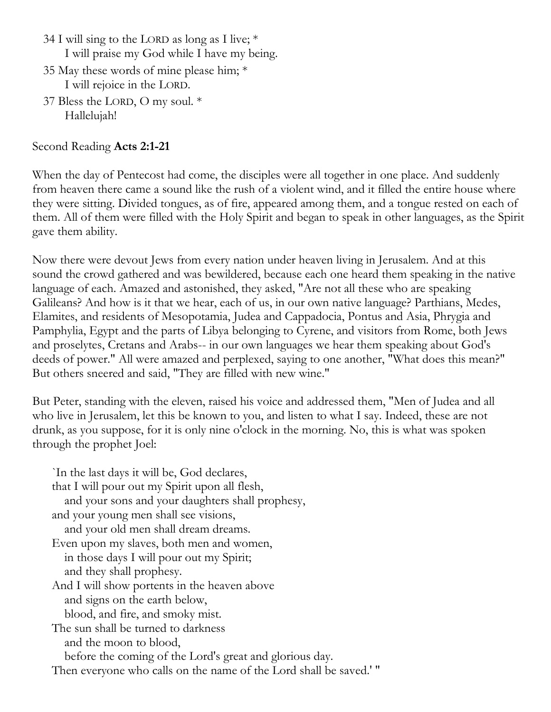- 34 I will sing to the LORD as long as I live; \* I will praise my God while I have my being.
- 35 May these words of mine please him; \* I will rejoice in the LORD.
- 37 Bless the LORD, O my soul. \* Hallelujah!

#### Second Reading **Acts 2:1-21**

When the day of Pentecost had come, the disciples were all together in one place. And suddenly from heaven there came a sound like the rush of a violent wind, and it filled the entire house where they were sitting. Divided tongues, as of fire, appeared among them, and a tongue rested on each of them. All of them were filled with the Holy Spirit and began to speak in other languages, as the Spirit gave them ability.

Now there were devout Jews from every nation under heaven living in Jerusalem. And at this sound the crowd gathered and was bewildered, because each one heard them speaking in the native language of each. Amazed and astonished, they asked, "Are not all these who are speaking Galileans? And how is it that we hear, each of us, in our own native language? Parthians, Medes, Elamites, and residents of Mesopotamia, Judea and Cappadocia, Pontus and Asia, Phrygia and Pamphylia, Egypt and the parts of Libya belonging to Cyrene, and visitors from Rome, both Jews and proselytes, Cretans and Arabs-- in our own languages we hear them speaking about God's deeds of power." All were amazed and perplexed, saying to one another, "What does this mean?" But others sneered and said, "They are filled with new wine."

But Peter, standing with the eleven, raised his voice and addressed them, "Men of Judea and all who live in Jerusalem, let this be known to you, and listen to what I say. Indeed, these are not drunk, as you suppose, for it is only nine o'clock in the morning. No, this is what was spoken through the prophet Joel:

`In the last days it will be, God declares, that I will pour out my Spirit upon all flesh, and your sons and your daughters shall prophesy, and your young men shall see visions, and your old men shall dream dreams. Even upon my slaves, both men and women, in those days I will pour out my Spirit; and they shall prophesy. And I will show portents in the heaven above and signs on the earth below, blood, and fire, and smoky mist. The sun shall be turned to darkness and the moon to blood, before the coming of the Lord's great and glorious day. Then everyone who calls on the name of the Lord shall be saved.' "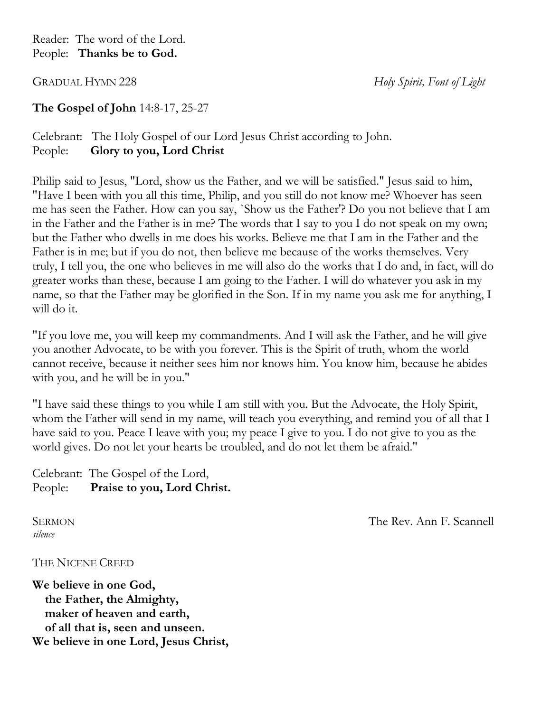Reader: The word of the Lord. People: **Thanks be to God.**

GRADUAL HYMN 228 *Holy Spirit, Font of Light*

#### **The Gospel of John** 14:8-17, 25-27

Celebrant: The Holy Gospel of our Lord Jesus Christ according to John. People: **Glory to you, Lord Christ**

Philip said to Jesus, "Lord, show us the Father, and we will be satisfied." Jesus said to him, "Have I been with you all this time, Philip, and you still do not know me? Whoever has seen me has seen the Father. How can you say, `Show us the Father'? Do you not believe that I am in the Father and the Father is in me? The words that I say to you I do not speak on my own; but the Father who dwells in me does his works. Believe me that I am in the Father and the Father is in me; but if you do not, then believe me because of the works themselves. Very truly, I tell you, the one who believes in me will also do the works that I do and, in fact, will do greater works than these, because I am going to the Father. I will do whatever you ask in my name, so that the Father may be glorified in the Son. If in my name you ask me for anything, I will do it.

"If you love me, you will keep my commandments. And I will ask the Father, and he will give you another Advocate, to be with you forever. This is the Spirit of truth, whom the world cannot receive, because it neither sees him nor knows him. You know him, because he abides with you, and he will be in you."

"I have said these things to you while I am still with you. But the Advocate, the Holy Spirit, whom the Father will send in my name, will teach you everything, and remind you of all that I have said to you. Peace I leave with you; my peace I give to you. I do not give to you as the world gives. Do not let your hearts be troubled, and do not let them be afraid."

Celebrant: The Gospel of the Lord, People: **Praise to you, Lord Christ.**

*silence*

SERMON The Rev. Ann F. Scannell

#### THE NICENE CREED

**We believe in one God, the Father, the Almighty, maker of heaven and earth, of all that is, seen and unseen. We believe in one Lord, Jesus Christ,**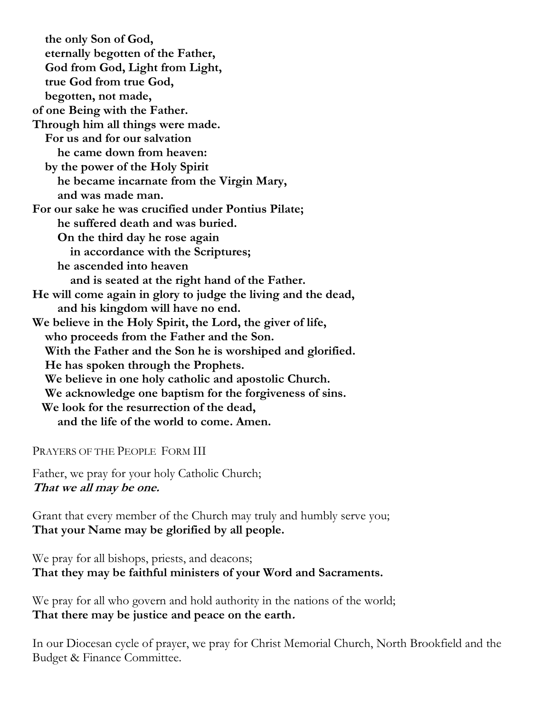**the only Son of God, eternally begotten of the Father, God from God, Light from Light, true God from true God, begotten, not made, of one Being with the Father. Through him all things were made. For us and for our salvation he came down from heaven: by the power of the Holy Spirit he became incarnate from the Virgin Mary, and was made man. For our sake he was crucified under Pontius Pilate; he suffered death and was buried. On the third day he rose again in accordance with the Scriptures; he ascended into heaven and is seated at the right hand of the Father. He will come again in glory to judge the living and the dead, and his kingdom will have no end. We believe in the Holy Spirit, the Lord, the giver of life, who proceeds from the Father and the Son. With the Father and the Son he is worshiped and glorified. He has spoken through the Prophets. We believe in one holy catholic and apostolic Church. We acknowledge one baptism for the forgiveness of sins. We look for the resurrection of the dead, and the life of the world to come. Amen.**

PRAYERS OF THE PEOPLE FORM III

Father, we pray for your holy Catholic Church; **That we all may be one.**

Grant that every member of the Church may truly and humbly serve you; **That your Name may be glorified by all people.**

We pray for all bishops, priests, and deacons; **That they may be faithful ministers of your Word and Sacraments.**

We pray for all who govern and hold authority in the nations of the world; **That there may be justice and peace on the earth.**

In our Diocesan cycle of prayer, we pray for Christ Memorial Church, North Brookfield and the Budget & Finance Committee.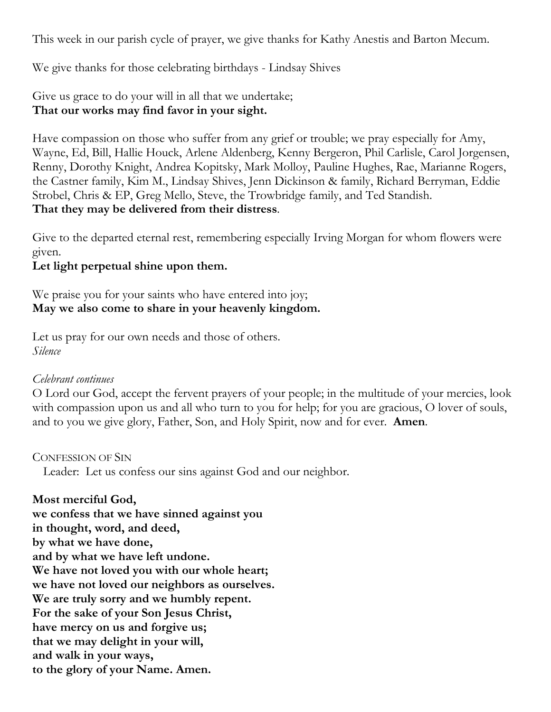This week in our parish cycle of prayer, we give thanks for Kathy Anestis and Barton Mecum.

We give thanks for those celebrating birthdays - Lindsay Shives

#### Give us grace to do your will in all that we undertake; **That our works may find favor in your sight.**

Have compassion on those who suffer from any grief or trouble; we pray especially for Amy, Wayne, Ed, Bill, Hallie Houck, Arlene Aldenberg, Kenny Bergeron, Phil Carlisle, Carol Jorgensen, Renny, Dorothy Knight, Andrea Kopitsky, Mark Molloy, Pauline Hughes, Rae, Marianne Rogers, the Castner family, Kim M., Lindsay Shives, Jenn Dickinson & family, Richard Berryman, Eddie Strobel, Chris & EP, Greg Mello, Steve, the Trowbridge family, and Ted Standish. **That they may be delivered from their distress***.*

Give to the departed eternal rest, remembering especially Irving Morgan for whom flowers were given.

#### **Let light perpetual shine upon them.**

We praise you for your saints who have entered into joy; **May we also come to share in your heavenly kingdom.**

Let us pray for our own needs and those of others. *Silence*

#### *Celebrant continues*

O Lord our God, accept the fervent prayers of your people; in the multitude of your mercies, look with compassion upon us and all who turn to you for help; for you are gracious, O lover of souls, and to you we give glory, Father, Son, and Holy Spirit, now and for ever. **Amen**.

#### CONFESSION OF SIN

Leader: Let us confess our sins against God and our neighbor.

#### **Most merciful God,**

**we confess that we have sinned against you in thought, word, and deed, by what we have done, and by what we have left undone. We have not loved you with our whole heart; we have not loved our neighbors as ourselves. We are truly sorry and we humbly repent. For the sake of your Son Jesus Christ, have mercy on us and forgive us; that we may delight in your will, and walk in your ways, to the glory of your Name. Amen.**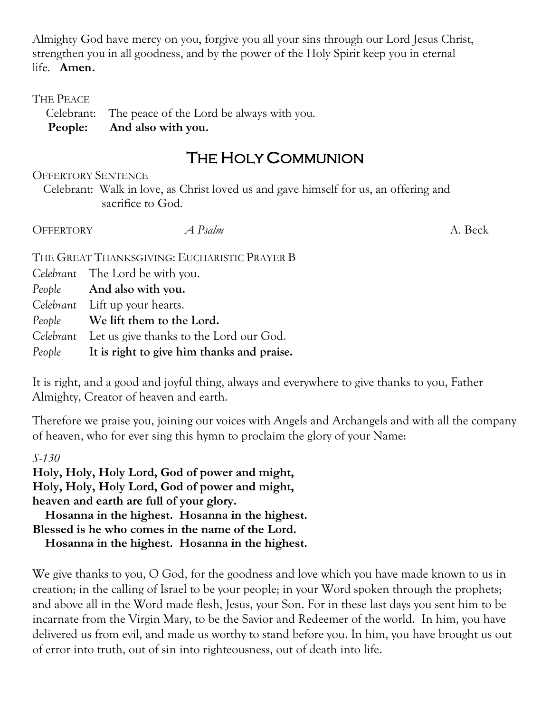Almighty God have mercy on you, forgive you all your sins through our Lord Jesus Christ, strengthen you in all goodness, and by the power of the Holy Spirit keep you in eternal life. **Amen.**

THE PEACE

 Celebrant: The peace of the Lord be always with you. **People: And also with you.**

# THE HOLY COMMUNION

OFFERTORY SENTENCE

 Celebrant: Walk in love, as Christ loved us and gave himself for us, an offering and sacrifice to God.

OFFERTORY *A Psalm* A. Beck

THE GREAT THANKSGIVING: EUCHARISTIC PRAYER B

*Celebrant* The Lord be with you.

*People* **And also with you.**

*Celebrant* Lift up your hearts.

*People* **We lift them to the Lord.**

*Celebrant* Let us give thanks to the Lord our God.

*People* **It is right to give him thanks and praise.**

It is right, and a good and joyful thing, always and everywhere to give thanks to you, Father Almighty, Creator of heaven and earth.

Therefore we praise you, joining our voices with Angels and Archangels and with all the company of heaven, who for ever sing this hymn to proclaim the glory of your Name:

*S-130*

**Holy, Holy, Holy Lord, God of power and might, Holy, Holy, Holy Lord, God of power and might, heaven and earth are full of your glory.**

 **Hosanna in the highest. Hosanna in the highest. Blessed is he who comes in the name of the Lord.**

 **Hosanna in the highest. Hosanna in the highest.** 

We give thanks to you, O God, for the goodness and love which you have made known to us in creation; in the calling of Israel to be your people; in your Word spoken through the prophets; and above all in the Word made flesh, Jesus, your Son. For in these last days you sent him to be incarnate from the Virgin Mary, to be the Savior and Redeemer of the world. In him, you have delivered us from evil, and made us worthy to stand before you. In him, you have brought us out of error into truth, out of sin into righteousness, out of death into life.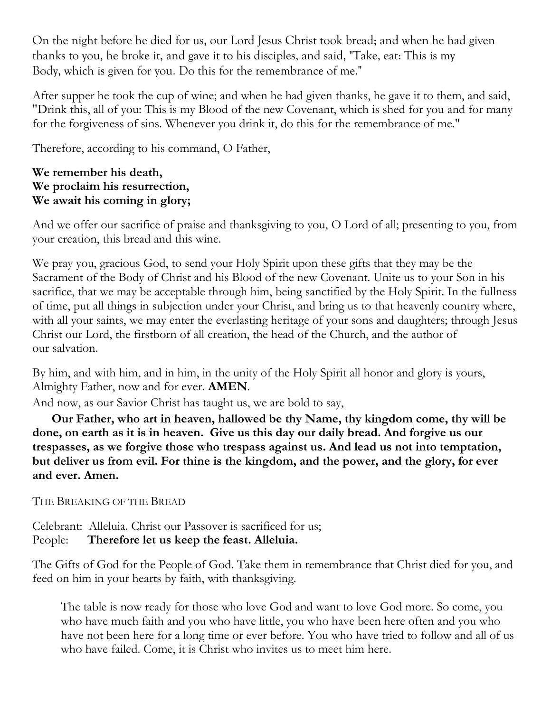On the night before he died for us, our Lord Jesus Christ took bread; and when he had given thanks to you, he broke it, and gave it to his disciples, and said, "Take, eat: This is my Body, which is given for you. Do this for the remembrance of me."

After supper he took the cup of wine; and when he had given thanks, he gave it to them, and said, "Drink this, all of you: This is my Blood of the new Covenant, which is shed for you and for many for the forgiveness of sins. Whenever you drink it, do this for the remembrance of me."

Therefore, according to his command, O Father,

#### **We remember his death, We proclaim his resurrection, We await his coming in glory;**

And we offer our sacrifice of praise and thanksgiving to you, O Lord of all; presenting to you, from your creation, this bread and this wine.

We pray you, gracious God, to send your Holy Spirit upon these gifts that they may be the Sacrament of the Body of Christ and his Blood of the new Covenant. Unite us to your Son in his sacrifice, that we may be acceptable through him, being sanctified by the Holy Spirit. In the fullness of time, put all things in subjection under your Christ, and bring us to that heavenly country where, with all your saints, we may enter the everlasting heritage of your sons and daughters; through Jesus Christ our Lord, the firstborn of all creation, the head of the Church, and the author of our salvation.

By him, and with him, and in him, in the unity of the Holy Spirit all honor and glory is yours, Almighty Father, now and for ever. **AMEN***.*

And now, as our Savior Christ has taught us, we are bold to say,

**Our Father, who art in heaven, hallowed be thy Name, thy kingdom come, thy will be done, on earth as it is in heaven. Give us this day our daily bread. And forgive us our trespasses, as we forgive those who trespass against us. And lead us not into temptation, but deliver us from evil. For thine is the kingdom, and the power, and the glory, for ever and ever. Amen.**

THE BREAKING OF THE BREAD

Celebrant: Alleluia. Christ our Passover is sacrificed for us; People: **Therefore let us keep the feast. Alleluia.**

The Gifts of God for the People of God. Take them in remembrance that Christ died for you, and feed on him in your hearts by faith, with thanksgiving.

The table is now ready for those who love God and want to love God more. So come, you who have much faith and you who have little, you who have been here often and you who have not been here for a long time or ever before. You who have tried to follow and all of us who have failed. Come, it is Christ who invites us to meet him here.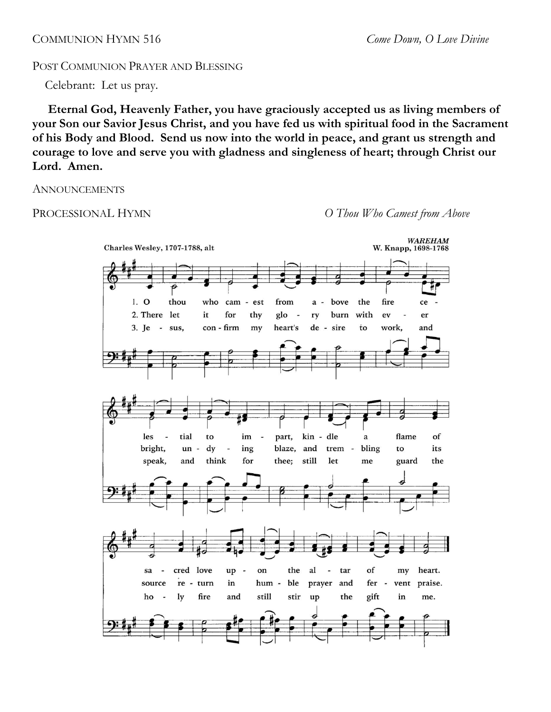#### COMMUNION HYMN 516 *Come Down, O Love Divine*

#### POST COMMUNION PRAYER AND BLESSING

Celebrant: Let us pray.

 **Eternal God, Heavenly Father, you have graciously accepted us as living members of your Son our Savior Jesus Christ, and you have fed us with spiritual food in the Sacrament of his Body and Blood. Send us now into the world in peace, and grant us strength and courage to love and serve you with gladness and singleness of heart; through Christ our Lord. Amen.**

#### ANNOUNCEMENTS

PROCESSIONAL HYMN *O Thou Who Camest from Above*